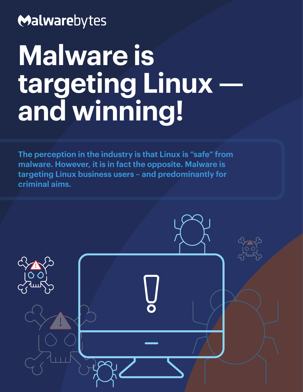## Malwarebytes

# **Malware is targeting Linux and winning!**

**The perception in the industry is that Linux is "safe" from malware. However, it is in fact the opposite. Malware is targeting Linux business users – and predominantly for criminal aims.**

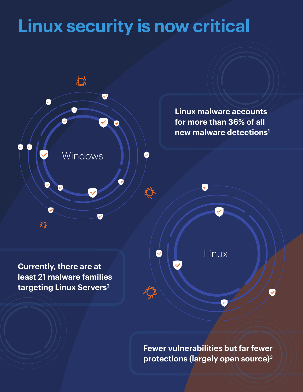## **Linux security is now critical**



**Fewer vulnerabilities but far fewer protections (largely open source)3**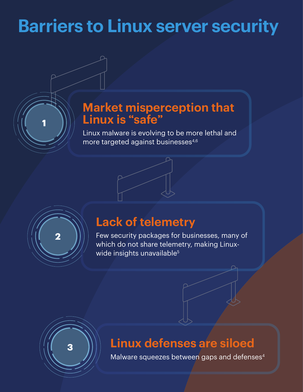## **Barriers to Linux server security**

### **Market misperception that Linux is "safe"**

Linux malware is evolving to be more lethal and more targeted against businesses<sup>4,6</sup>



**1**

### **Lack of telemetry**

Few security packages for businesses, many of which do not share telemetry, making Linuxwide insights unavailable<sup>5</sup>



## **Linux defenses are siloed**

Malware squeezes between gaps and defenses<sup>4</sup>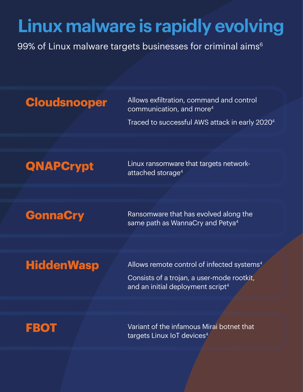## **Linux malware is rapidly evolving**

99% of Linux malware targets businesses for criminal aims<sup>6</sup>

**Cloudsnooper** Allows exfiltration, command and control communication, and more4

Traced to successful AWS attack in early 20204

**QNAPCrypt** Linux ransomware that targets networkattached storage4

**GonnaCry** Ransomware that has evolved along the same path as WannaCry and Petya<sup>4</sup>

**HiddenWasp** Allows remote control of infected systems<sup>4</sup>

Consists of a trojan, a user-mode rootkit, and an initial deployment script<sup>4</sup>

**FBOT** Variant of the infamous Mirai botnet that targets Linux IoT devices<sup>4</sup>